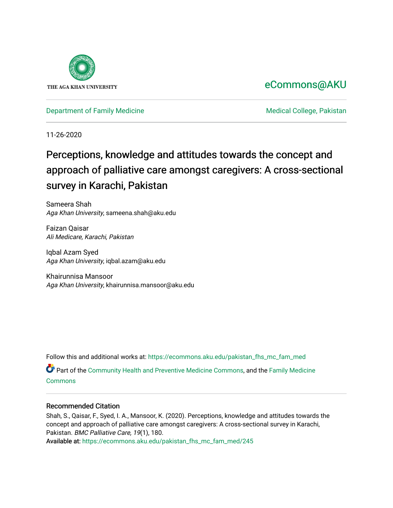

# [eCommons@AKU](https://ecommons.aku.edu/)

# [Department of Family Medicine](https://ecommons.aku.edu/pakistan_fhs_mc_fam_med) Medical College, Pakistan

11-26-2020

# Perceptions, knowledge and attitudes towards the concept and approach of palliative care amongst caregivers: A cross-sectional survey in Karachi, Pakistan

Sameera Shah Aga Khan University, sameena.shah@aku.edu

Faizan Qaisar Ali Medicare, Karachi, Pakistan

Iqbal Azam Syed Aga Khan University, iqbal.azam@aku.edu

Khairunnisa Mansoor Aga Khan University, khairunnisa.mansoor@aku.edu

Follow this and additional works at: [https://ecommons.aku.edu/pakistan\\_fhs\\_mc\\_fam\\_med](https://ecommons.aku.edu/pakistan_fhs_mc_fam_med?utm_source=ecommons.aku.edu%2Fpakistan_fhs_mc_fam_med%2F245&utm_medium=PDF&utm_campaign=PDFCoverPages) 

Part of the [Community Health and Preventive Medicine Commons](http://network.bepress.com/hgg/discipline/744?utm_source=ecommons.aku.edu%2Fpakistan_fhs_mc_fam_med%2F245&utm_medium=PDF&utm_campaign=PDFCoverPages), and the [Family Medicine](http://network.bepress.com/hgg/discipline/1354?utm_source=ecommons.aku.edu%2Fpakistan_fhs_mc_fam_med%2F245&utm_medium=PDF&utm_campaign=PDFCoverPages)  [Commons](http://network.bepress.com/hgg/discipline/1354?utm_source=ecommons.aku.edu%2Fpakistan_fhs_mc_fam_med%2F245&utm_medium=PDF&utm_campaign=PDFCoverPages)

# Recommended Citation

Shah, S., Qaisar, F., Syed, I. A., Mansoor, K. (2020). Perceptions, knowledge and attitudes towards the concept and approach of palliative care amongst caregivers: A cross-sectional survey in Karachi, Pakistan. BMC Palliative Care, 19(1), 180.

Available at: [https://ecommons.aku.edu/pakistan\\_fhs\\_mc\\_fam\\_med/245](https://ecommons.aku.edu/pakistan_fhs_mc_fam_med/245)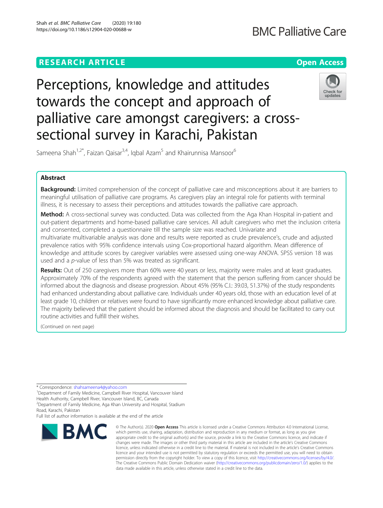# **RESEARCH ARTICLE Example 2014 12:30 The Contract of Contract ACCESS**

# **BMC Palliative Care**

Perceptions, knowledge and attitudes towards the concept and approach of palliative care amongst caregivers: a crosssectional survey in Karachi, Pakistan



Sameena Shah<sup>1,2\*</sup>, Faizan Qaisar<sup>3,4</sup>, Iqbal Azam<sup>5</sup> and Khairunnisa Mansoor<sup>6</sup>

# Abstract

Background: Limited comprehension of the concept of palliative care and misconceptions about it are barriers to meaningful utilisation of palliative care programs. As caregivers play an integral role for patients with terminal illness, it is necessary to assess their perceptions and attitudes towards the palliative care approach.

Method: A cross-sectional survey was conducted. Data was collected from the Aga Khan Hospital in-patient and out-patient departments and home-based palliative care services. All adult caregivers who met the inclusion criteria and consented, completed a questionnaire till the sample size was reached. Univariate and

multivariate multivariable analysis was done and results were reported as crude prevalence's, crude and adjusted prevalence ratios with 95% confidence intervals using Cox-proportional hazard algorithm. Mean difference of knowledge and attitude scores by caregiver variables were assessed using one-way ANOVA. SPSS version 18 was used and a p-value of less than 5% was treated as significant.

Results: Out of 250 caregivers more than 60% were 40 years or less, majority were males and at least graduates. Approximately 70% of the respondents agreed with the statement that the person suffering from cancer should be informed about the diagnosis and disease progression. About 45% (95% C.I.: 39.03, 51.37%) of the study respondents had enhanced understanding about palliative care. Individuals under 40 years old, those with an education level of at least grade 10, children or relatives were found to have significantly more enhanced knowledge about palliative care. The majority believed that the patient should be informed about the diagnosis and should be facilitated to carry out routine activities and fulfill their wishes.

(Continued on next page)

\* Correspondence: [shahsameena4@yahoo.com](mailto:shahsameena4@yahoo.com) <sup>1</sup>

<sup>1</sup>Department of Family Medicine, Campbell River Hospital, Vancouver Island Health Authority, Campbell River, Vancouver Island, BC, Canada

<sup>2</sup>Department of Family Medicine, Aga Khan University and Hospital, Stadium Road, Karachi, Pakistan

Full list of author information is available at the end of the article



© The Author(s), 2020 **Open Access** This article is licensed under a Creative Commons Attribution 4.0 International License, which permits use, sharing, adaptation, distribution and reproduction in any medium or format, as long as you give appropriate credit to the original author(s) and the source, provide a link to the Creative Commons licence, and indicate if changes were made. The images or other third party material in this article are included in the article's Creative Commons licence, unless indicated otherwise in a credit line to the material. If material is not included in the article's Creative Commons licence and your intended use is not permitted by statutory regulation or exceeds the permitted use, you will need to obtain permission directly from the copyright holder. To view a copy of this licence, visit [http://creativecommons.org/licenses/by/4.0/.](http://creativecommons.org/licenses/by/4.0/) The Creative Commons Public Domain Dedication waiver [\(http://creativecommons.org/publicdomain/zero/1.0/](http://creativecommons.org/publicdomain/zero/1.0/)) applies to the data made available in this article, unless otherwise stated in a credit line to the data.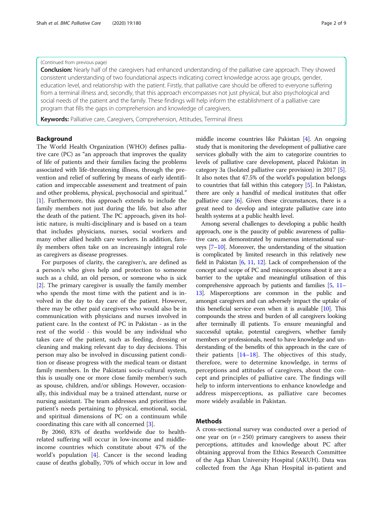# (Continued from previous page)

**Conclusion:** Nearly half of the caregivers had enhanced understanding of the palliative care approach. They showed consistent understanding of two foundational aspects indicating correct knowledge across age groups, gender, education level, and relationship with the patient. Firstly, that palliative care should be offered to everyone suffering from a terminal illness and, secondly, that this approach encompasses not just physical, but also psychological and social needs of the patient and the family. These findings will help inform the establishment of a palliative care program that fills the gaps in comprehension and knowledge of caregivers.

Keywords: Palliative care, Caregivers, Comprehension, Attitudes, Terminal illness

# Background

The World Health Organization (WHO) defines palliative care (PC) as "an approach that improves the quality of life of patients and their families facing the problems associated with life-threatening illness, through the prevention and relief of suffering by means of early identification and impeccable assessment and treatment of pain and other problems, physical, psychosocial and spiritual." [[1\]](#page-8-0). Furthermore, this approach extends to include the family members not just during the life, but also after the death of the patient. The PC approach, given its holistic nature, is multi-disciplinary and is based on a team that includes physicians, nurses, social workers and many other allied health care workers. In addition, family members often take on an increasingly integral role as caregivers as disease progresses.

For purposes of clarity, the caregiver/s, are defined as a person/s who gives help and protection to someone such as a child, an old person, or someone who is sick [[2\]](#page-8-0). The primary caregiver is usually the family member who spends the most time with the patient and is involved in the day to day care of the patient. However, there may be other paid caregivers who would also be in communication with physicians and nurses involved in patient care. In the context of PC in Pakistan - as in the rest of the world - this would be any individual who takes care of the patient, such as feeding, dressing or cleaning and making relevant day to day decisions. This person may also be involved in discussing patient condition or disease progress with the medical team or distant family members. In the Pakistani socio-cultural system, this is usually one or more close family member/s such as spouse, children, and/or siblings. However, occasionally, this individual may be a trained attendant, nurse or nursing assistant. The team addresses and prioritises the patient's needs pertaining to physical, emotional, social, and spiritual dimensions of PC on a continuum while coordinating this care with all concerned [[3\]](#page-8-0).

By 2060, 83% of deaths worldwide due to healthrelated suffering will occur in low-income and middleincome countries which constitute about 47% of the world's population [[4\]](#page-8-0). Cancer is the second leading cause of deaths globally, 70% of which occur in low and middle income countries like Pakistan [\[4\]](#page-8-0). An ongoing study that is monitoring the development of palliative care services globally with the aim to categorize countries to levels of palliative care development, placed Pakistan in category 3a (Isolated palliative care provision) in 2017 [[5](#page-8-0)]. It also notes that 47.5% of the world's population belongs to countries that fall within this category [[5\]](#page-8-0). In Pakistan, there are only a handful of medical institutes that offer palliative care  $[6]$  $[6]$ . Given these circumstances, there is a great need to develop and integrate palliative care into health systems at a public health level.

Among several challenges to developing a public health approach, one is the paucity of public awareness of palliative care, as demonstrated by numerous international surveys [\[7](#page-9-0)–[10\]](#page-9-0). Moreover, the understanding of the situation is complicated by limited research in this relatively new field in Pakistan [\[6,](#page-8-0) [11,](#page-9-0) [12](#page-9-0)]. Lack of comprehension of the concept and scope of PC and misconceptions about it are a barrier to the uptake and meaningful utilisation of this comprehensive approach by patients and families [\[5,](#page-8-0) [11](#page-9-0)– [13](#page-9-0)]. Misperceptions are common in the public and amongst caregivers and can adversely impact the uptake of this beneficial service even when it is available [\[10\]](#page-9-0). This compounds the stress and burden of all caregivers looking after terminally ill patients. To ensure meaningful and successful uptake, potential caregivers, whether family members or professionals, need to have knowledge and understanding of the benefits of this approach in the care of their patients  $[14–18]$  $[14–18]$  $[14–18]$  $[14–18]$ . The objectives of this study, therefore, were to determine knowledge, in terms of perceptions and attitudes of caregivers, about the concept and principles of palliative care. The findings will help to inform interventions to enhance knowledge and address misperceptions, as palliative care becomes more widely available in Pakistan.

# Methods

A cross-sectional survey was conducted over a period of one year on  $(n = 250)$  primary caregivers to assess their perceptions, attitudes and knowledge about PC after obtaining approval from the Ethics Research Committee of the Aga Khan University Hospital (AKUH). Data was collected from the Aga Khan Hospital in-patient and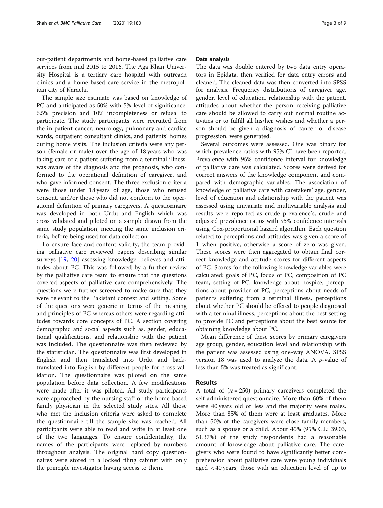out-patient departments and home-based palliative care services from mid 2015 to 2016. The Aga Khan University Hospital is a tertiary care hospital with outreach clinics and a home-based care service in the metropolitan city of Karachi.

The sample size estimate was based on knowledge of PC and anticipated as 50% with 5% level of significance, 6.5% precision and 10% incompleteness or refusal to participate. The study participants were recruited from the in-patient cancer, neurology, pulmonary and cardiac wards, outpatient consultant clinics, and patients' homes during home visits. The inclusion criteria were any person (female or male) over the age of 18 years who was taking care of a patient suffering from a terminal illness, was aware of the diagnosis and the prognosis, who conformed to the operational definition of caregiver, and who gave informed consent. The three exclusion criteria were those under 18 years of age, those who refused consent, and/or those who did not conform to the operational definition of primary caregivers. A questionnaire was developed in both Urdu and English which was cross validated and piloted on a sample drawn from the same study population, meeting the same inclusion criteria, before being used for data collection.

To ensure face and content validity, the team providing palliative care reviewed papers describing similar surveys [[19,](#page-9-0) [20](#page-9-0)] assessing knowledge, believes and attitudes about PC. This was followed by a further review by the palliative care team to ensure that the questions covered aspects of palliative care comprehensively. The questions were further screened to make sure that they were relevant to the Pakistani context and setting. Some of the questions were generic in terms of the meaning and principles of PC whereas others were regarding attitudes towards core concepts of PC. A section covering demographic and social aspects such as, gender, educational qualifications, and relationship with the patient was included. The questionnaire was then reviewed by the statistician. The questionnaire was first developed in English and then translated into Urdu and backtranslated into English by different people for cross validation. The questionnaire was piloted on the same population before data collection. A few modifications were made after it was piloted. All study participants were approached by the nursing staff or the home-based family physician in the selected study sites. All those who met the inclusion criteria were asked to complete the questionnaire till the sample size was reached. All participants were able to read and write in at least one of the two languages. To ensure confidentiality, the names of the participants were replaced by numbers throughout analysis. The original hard copy questionnaires were stored in a locked filing cabinet with only the principle investigator having access to them.

# Data analysis

The data was double entered by two data entry operators in Epidata, then verified for data entry errors and cleaned. The cleaned data was then converted into SPSS for analysis. Frequency distributions of caregiver age, gender, level of education, relationship with the patient, attitudes about whether the person receiving palliative care should be allowed to carry out normal routine activities or to fulfill all his/her wishes and whether a person should be given a diagnosis of cancer or disease progression, were generated.

Several outcomes were assessed. One was binary for which prevalence ratios with 95% CI have been reported. Prevalence with 95% confidence interval for knowledge of palliative care was calculated. Scores were derived for correct answers of the knowledge component and compared with demographic variables. The association of knowledge of palliative care with caretakers' age, gender, level of education and relationship with the patient was assessed using univariate and multivariable analysis and results were reported as crude prevalence's, crude and adjusted prevalence ratios with 95% confidence intervals using Cox-proportional hazard algorithm. Each question related to perceptions and attitudes was given a score of 1 when positive, otherwise a score of zero was given. These scores were then aggregated to obtain final correct knowledge and attitude scores for different aspects of PC. Scores for the following knowledge variables were calculated: goals of PC, focus of PC, composition of PC team, setting of PC, knowledge about hospice, perceptions about provider of PC, perceptions about needs of patients suffering from a terminal illness, perceptions about whether PC should be offered to people diagnosed with a terminal illness, perceptions about the best setting to provide PC and perceptions about the best source for obtaining knowledge about PC.

Mean difference of these scores by primary caregivers age group, gender, education level and relationship with the patient was assessed using one-way ANOVA. SPSS version 18 was used to analyze the data. A  $p$ -value of less than 5% was treated as significant.

# Results

A total of  $(n = 250)$  primary caregivers completed the self-administered questionnaire. More than 60% of them were 40 years old or less and the majority were males. More than 85% of them were at least graduates. More than 50% of the caregivers were close family members, such as a spouse or a child. About 45% (95% C.I.: 39.03, 51.37%) of the study respondents had a reasonable amount of knowledge about palliative care. The caregivers who were found to have significantly better comprehension about palliative care were young individuals aged < 40 years, those with an education level of up to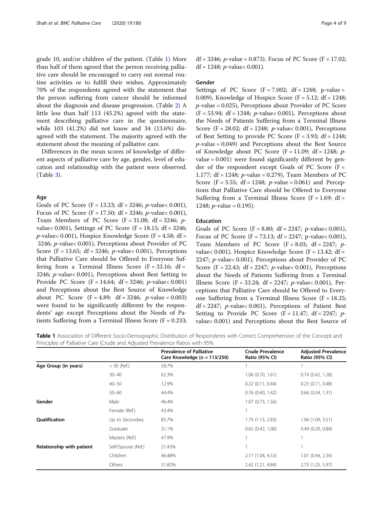<span id="page-4-0"></span>grade 10, and/or children of the patient. (Table 1) More than half of them agreed that the person receiving palliative care should be encouraged to carry out normal routine activities or to fulfill their wishes. Approximately 70% of the respondents agreed with the statement that the person suffering from cancer should be informed about the diagnosis and disease progression. (Table [2](#page-5-0)) A little less than half 113 (45.2%) agreed with the statement describing palliative care in the questionnaire, while 103 (41.2%) did not know and 34 (13.6%) disagreed with the statement. The majority agreed with the statement about the meaning of palliative care.

Differences in the mean scores of knowledge of different aspects of palliative care by age, gender, level of education and relationship with the patient were observed. (Table [3\)](#page-6-0).

# Age

Goals of PC Score (F = 13.23; df = 3246;  $p$ -value < 0.001), Focus of PC Score (F = 17.50; df = 3246;  $p$ -value < 0.001), Team Members of PC Score (F = 31.08; df = 3246;  $p$ value < 0.001), Settings of PC Score ( $F = 18.15$ ; df = 3246;  $p$ -value< 0.001), Hospice Knowledge Score (F = 4.58; df = 3246; p-value< 0.001), Perceptions about Provider of PC Score (F = 13.65; df = 3246;  $p$ -value < 0.001), Perceptions that Palliative Care should be Offered to Everyone Suffering from a Terminal Illness Score  $(F = 33.16; df =$ 3246; p-value< 0.001), Perceptions about Best Setting to Provide PC Score (F = 14.64; df = 3246; *p*-value < 0.001) and Perceptions about the Best Source of Knowledge about PC Score (F = 4.89; df = 3246; p-value = 0.003) were found to be significantly different by the respondents' age except Perceptions about the Needs of Patients Suffering from a Terminal Illness Score ( $F = 0.233$ ; df = 3246; *p*-value = 0.873). Focus of PC Score (F = 17.02; df = 1248; *p*-value < 0.001).

### Gender

Settings of PC Score  $(F = 7.002; df = 1248; p-value =$ 0.009), Knowledge of Hospice Score ( $F = 5.12$ ; df = 1248;  $p$ -value = 0.025), Perceptions about Provider of PC Score  $(F = 53.94; df = 1248; p-value < 0.001)$ , Perceptions about the Needs of Patients Suffering from a Terminal Illness Score (F = 28.02; df = 1248;  $p$ -value< 0.001), Perceptions of Best Setting to provide PC Score  $(F = 3.93; df = 1248;$  $p$ -value = 0.049) and Perceptions about the Best Source of Knowledge about PC Score (F = 11.09; df = 1248;  $p$ value  $= 0.001$ ) were found significantly different by gender of the respondent except Goals of PC Score  $(F =$ 1.177; df = 1248;  $p$ -value = 0.279), Team Members of PC Score (F = 3.55; df = 1248; *p*-value = 0.061) and Perceptions that Palliative Care should be Offered to Everyone Suffering from a Terminal Illness Score ( $F = 1.69$ ; df = 1248; *p*-value = 0.195).

# Education

Goals of PC Score  $(F = 8.80; df = 2247; p-value < 0.001)$ , Focus of PC Score (F = 73.13; df = 2247; p-value < 0.001), Team Members of PC Score (F = 8.03; df = 2247;  $p$ value< 0.001), Hospice Knowledge Score ( $F = 13.42$ ; df = 2247; p-value< 0.001), Perceptions about Provider of PC Score (F = 22.43; df = 2247;  $p$ -value < 0.001), Perceptions about the Needs of Patients Suffering from a Terminal Illness Score (F = 33.24; df = 2247;  $p$ -value< 0.001), Perceptions that Palliative Care should be Offered to Everyone Suffering from a Terminal Illness Score ( $F = 18.25$ ; df = 2247;  $p$ -value< 0.001), Perceptions of Patient Best Setting to Provide PC Score  $(F = 11.47; df = 2247; p$ value< 0.001) and Perceptions about the Best Source of

Table 1 Association of Different Socio-Demographic Distribution of Respondents with Correct Comprehension of the Concept and Principles of Palliative Care (Crude and Adjusted Prevalence Ratios with 95%

|                           |                    | <b>Prevalence of Palliative</b><br>Care Knowledge ( $n = 113/250$ ) | <b>Crude Prevalence</b><br>Ratio (95% CI) | <b>Adjusted Prevalence</b><br>Ratio (95% CI) |
|---------------------------|--------------------|---------------------------------------------------------------------|-------------------------------------------|----------------------------------------------|
| Age Group (in years)      | $<$ 30 (Ref.)      | 58.7%                                                               |                                           |                                              |
|                           | $30 - 40$          | 62.3%                                                               | 1.06(0.70, 1.61)                          | 0.74(0.42, 1.28)                             |
|                           | $40 - 50$          | 12.9%                                                               | $0.22$ $(0.11, 0.44)$                     | $0.23$ $(0.11, 0.48)$                        |
|                           | $50 - 60$          | 44.4%                                                               | $0.76$ (0.40, 1.42)                       | $0.66$ $(0.34, 1.31)$                        |
| Gender                    | Male               | 46.4%                                                               | 1.07(0.73, 1.56)                          |                                              |
|                           | Female (Ref.)      | 43.4%                                                               |                                           |                                              |
| <b>Oualification</b>      | Up to Secondary    | 85.7%                                                               | 1.79 (1.13, 2.83)                         | 1.96 (1.09, 3.51)                            |
|                           | Graduate           | 31.1%                                                               | 0.65(0.42, 1.00)                          | 0.49(0.29, 0.84)                             |
|                           | Masters (Ref.)     | 47.9%                                                               |                                           |                                              |
| Relationship with patient | Self/Spouse (Ref.) | 21.43%                                                              |                                           |                                              |
|                           | Children           | 46.48%                                                              | 2.17 (1.04, 4.53)                         | 1.01 (0.44, 2.34)                            |
|                           | Others             | 51.82%                                                              | 2.42 (1.21, 4.84)                         | 2.73 (1.25, 5.97)                            |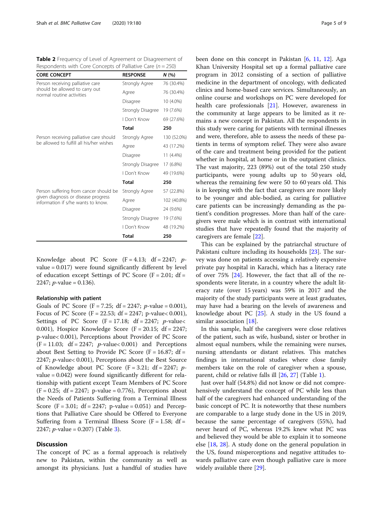<span id="page-5-0"></span>Table 2 Frequency of Level of Agreement or Disagreement of Respondents with Core Concepts of Palliative Care ( $n = 250$ )

| <b>CORE CONCEPT</b>                                                       | <b>RESPONSE</b>          | N(%)        |
|---------------------------------------------------------------------------|--------------------------|-------------|
| Person receiving palliative care                                          | Strongly Agree           | 76 (30.4%)  |
| should be allowed to carry out<br>normal routine activities               | Agree                    | 76 (30.4%)  |
|                                                                           | Disagree                 | 10 (4.0%)   |
|                                                                           | <b>Strongly Disagree</b> | 19 (7.6%)   |
|                                                                           | I Don't Know             | 69 (27.6%)  |
|                                                                           | <b>Total</b>             | 250         |
| Person receiving palliative care should                                   | Strongly Agree           | 130 (52.0%) |
| be allowed to fulfill all his/her wishes                                  | Agree                    | 43 (17.2%)  |
|                                                                           | Disagree                 | 11 (4.4%)   |
|                                                                           | <b>Strongly Disagree</b> | 17 (6.8%)   |
|                                                                           | I Don't Know             | 49 (19.6%)  |
|                                                                           | <b>Total</b>             | 250         |
| Person suffering from cancer should be                                    | Strongly Agree           | 57 (22.8%)  |
| given diagnosis or disease progress<br>information if s/he wants to know. | Agree                    | 102 (40.8%) |
|                                                                           | Disagree                 | 24 (9.6%)   |
|                                                                           | <b>Strongly Disagree</b> | 19 (7.6%)   |
|                                                                           | I Don't Know             | 48 (19.2%)  |
|                                                                           | <b>Total</b>             | 250         |

Knowledge about PC Score  $(F = 4.13; df = 2247; p$ value = 0.017) were found significantly different by level of education except Settings of PC Score ( $F = 2.01$ ; df = 2247; *p*-value = 0.136).

### Relationship with patient

Goals of PC Score (F = 7.25; df = 2247;  $p$ -value = 0.001), Focus of PC Score (F = 22.53; df = 2247; p-value < 0.001), Settings of PC Score  $(F = 17.18; df = 2247; p-value <$ 0.001), Hospice Knowledge Score (F = 20.15; df = 2247; p-value< 0.001), Perceptions about Provider of PC Score  $(F = 11.03; df = 2247; p-value < 0.001)$  and Perceptions about Best Setting to Provide PC Score ( $F = 16.87$ ; df = 2247; p-value< 0.001), Perceptions about the Best Source of Knowledge about PC Score (F = 3.21; df = 2247;  $p$ value = 0.042) were found significantly different for relationship with patient except Team Members of PC Score  $(F = 0.25; df = 2247; p-value = 0.776)$ , Perceptions about the Needs of Patients Suffering from a Terminal Illness Score  $(F = 3.01; df = 2247; p-value = 0.051)$  and Perceptions that Palliative Care should be Offered to Everyone Suffering from a Terminal Illness Score ( $F = 1.58$ ; df = 2247; *p*-value = 0.207) (Table [3\)](#page-6-0).

# **Discussion**

The concept of PC as a formal approach is relatively new to Pakistan, within the community as well as amongst its physicians. Just a handful of studies have

been done on this concept in Pakistan  $[6, 11, 12]$  $[6, 11, 12]$  $[6, 11, 12]$  $[6, 11, 12]$  $[6, 11, 12]$  $[6, 11, 12]$  $[6, 11, 12]$ . Aga Khan University Hospital set up a formal palliative care program in 2012 consisting of a section of palliative medicine in the department of oncology, with dedicated clinics and home-based care services. Simultaneously, an online course and workshops on PC were developed for health care professionals [\[21\]](#page-9-0). However, awareness in the community at large appears to be limited as it remains a new concept in Pakistan. All the respondents in this study were caring for patients with terminal illnesses and were, therefore, able to assess the needs of these patients in terms of symptom relief. They were also aware of the care and treatment being provided for the patient whether in hospital, at home or in the outpatient clinics. The vast majority, 223 (89%) out of the total 250 study participants, were young adults up to 50 years old, whereas the remaining few were 50 to 60 years old. This is in keeping with the fact that caregivers are more likely to be younger and able-bodied, as caring for palliative care patients can be increasingly demanding as the patient's condition progresses. More than half of the caregivers were male which is in contrast with international studies that have repeatedly found that the majority of caregivers are female [\[22](#page-9-0)].

This can be explained by the patriarchal structure of Pakistani culture including its households [\[23\]](#page-9-0). The survey was done on patients accessing a relatively expensive private pay hospital in Karachi, which has a literacy rate of over 75% [[24](#page-9-0)]. However, the fact that all of the respondents were literate, in a country where the adult literacy rate (over 15 years) was 59% in 2017 and the majority of the study participants were at least graduates, may have had a bearing on the levels of awareness and knowledge about PC [[25\]](#page-9-0). A study in the US found a similar association [\[18\]](#page-9-0).

In this sample, half the caregivers were close relatives of the patient, such as wife, husband, sister or brother in almost equal numbers, while the remaining were nurses, nursing attendants or distant relatives. This matches findings in international studies where close family members take on the role of caregiver when a spouse, parent, child or relative falls ill [\[26](#page-9-0), [27](#page-9-0)] (Table [1](#page-4-0)).

Just over half (54.8%) did not know or did not comprehensively understand the concept of PC while less than half of the caregivers had enhanced understanding of the basic concept of PC. It is noteworthy that these numbers are comparable to a large study done in the US in 2019, because the same percentage of caregivers (55%), had never heard of PC, whereas 19.2% knew what PC was and believed they would be able to explain it to someone else [\[18](#page-9-0), [28\]](#page-9-0). A study done on the general population in the US, found misperceptions and negative attitudes towards palliative care even though palliative care is more widely available there [\[29](#page-9-0)].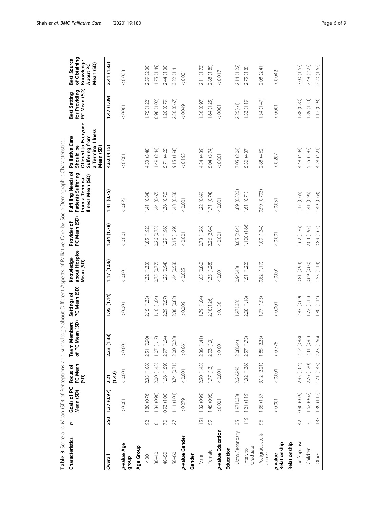<span id="page-6-0"></span>

|                                 |                    |                          |                             |                                              |                             |                                         |                             | Table 3 Score and Mean (SD) of Perceptions and Knowledge about Different Aspects of Palliative Care by Socio-Demographic Characteristics |                                                                                                          |                                               |                                                                   |
|---------------------------------|--------------------|--------------------------|-----------------------------|----------------------------------------------|-----------------------------|-----------------------------------------|-----------------------------|------------------------------------------------------------------------------------------------------------------------------------------|----------------------------------------------------------------------------------------------------------|-----------------------------------------------|-------------------------------------------------------------------|
| Characteristics.                | z                  | Goals of PC<br>Mean (SD) | PC Mean<br>(SD)<br>Focus of | Mean (SD)<br><b>Members</b><br>Team<br>of PC | PC Mean (SD)<br>Settings of | about Hospice<br>Knowledge<br>Mean (SD) | PC Mean (SD)<br>Provider of | Fulfilling Needs of<br>Patients Suffering<br>Illness Mean (SD)<br>from a Terminal                                                        | Offered to Everyone<br>a Terminal Illness<br>Suffering from<br>Palliative Care<br>Should be<br>Mean (SD) | PC Mean (SD)<br>for Providing<br>Best Setting | of Obtaining<br>Best Source<br>Knowledge<br>Mean (SD)<br>About PC |
| Overall                         |                    | 250 1.37 (0.97)          | (1.42)<br>2.21              | 38)<br>2.23 (1                               | 1.95(1.14)                  | 1.17 (1.06)                             | 1.34(1.78)                  | 1.41 (0.75)                                                                                                                              | 4.62 (4.15)                                                                                              | (60'l) 45'l                                   | 2.41 (1.83)                                                       |
| p-value Age<br>group            |                    | 0.001                    | 10000                       | 0.001                                        | < 0.001                     | < 0.001                                 | < 0.001                     | < 0.873                                                                                                                                  | 0.001                                                                                                    | < 0.001                                       | < 0.003                                                           |
| Age Group                       |                    |                          |                             |                                              |                             |                                         |                             |                                                                                                                                          |                                                                                                          |                                               |                                                                   |
| $< 30$                          | 92                 | 1.80 (0.76)              | 2.33 (1.08)                 | 2.51 (0.90)                                  | 2.15 (1.33)                 | 1.32(1.33)                              | 1.85 (1.92)                 | 1.41 (0.84)                                                                                                                              | 4.53 (3.48)                                                                                              | 1.75 (1.22)                                   | 2.59 (2.30)                                                       |
| $30 - 40$                       | $\overline{\circ}$ | 1.34(0.96)               | 2.00(1.43)                  | 1.07(1.17)                                   | (10(1.04)                   | 0.75 (0.77)                             | 0.26 (0.73)                 | 1.44(0.67)                                                                                                                               | 1.49 (2.44)                                                                                              | 0.98 (1.02)                                   | $(24.1)$ $5(1.7)$                                                 |
| 40-50                           | $\approx$          | 0.93 (1.00)              | 1.66 (1.59)                 | 2.97 (1.64)                                  | 2.29 (0.57)                 | 1.23 (0.94)                             | 1.29 (1.96)                 | 1.36 (0.76)                                                                                                                              | 5.71 (4.65)                                                                                              | 1.20 (0.79)                                   | 2.44 (1.30)                                                       |
| 50-60                           | $\overline{27}$    | 1.11(1.01)               | 3.74 (0.71)                 | 2.00 (0.28)                                  | 2.30 (0.82)                 | 1.44(0.58)                              | 2.15 (1.29)                 | 1.48 (0.58)                                                                                                                              | 9.15 (1.98)                                                                                              | 2.30 (0.67)                                   | 3.22(1.4)                                                         |
| p-value Gender                  |                    | < 0.279                  | 0.001                       | 10000                                        | 0.009                       | < 0.025                                 | 0.001                       | 0.001                                                                                                                                    | < 0.195                                                                                                  | 6000                                          | < 0.001                                                           |
| Gender                          |                    |                          |                             |                                              |                             |                                         |                             |                                                                                                                                          |                                                                                                          |                                               |                                                                   |
| Male                            | 151                | 1.32 (0.99)              | 2.50 (1.43)                 | 2.36 (1.41)                                  | 1.79 (1.04)                 | 1.05 (0.86)                             | 0.73 (1.26)                 | 1.22 (0.69)                                                                                                                              | 4.34 (4.39)                                                                                              | 1.36 (0.97)                                   | 2.11 (1.73)                                                       |
| Female                          | 99                 | 1.45 (0.95)              | 1.77(1.3)                   | 2.03(1.3)                                    | 2.18(1.26)                  | 1.35 (1.28)                             | 2.26 (2.04)                 | 1.71(0.74)                                                                                                                               | 5.04 (3.74)                                                                                              | 1.64(1.25)                                    | 2.88 (1.89)                                                       |
| p-value Education               |                    | 0.001                    | $<0.001$                    | 0.001                                        | < 0.136                     | < 0.001                                 | < 0.001                     | < 0.001                                                                                                                                  | 0.001                                                                                                    | 0.001                                         | < 0.017                                                           |
| Education                       |                    |                          |                             |                                              |                             |                                         |                             |                                                                                                                                          |                                                                                                          |                                               |                                                                   |
| Upto Secondary                  | 35                 | 1.971(.38)               | 2.66(.99)                   | 2.08(.44)                                    | 1.97(.38)                   | 0.94(.48)                               | 3.05 (2.04)                 | 1.89 (0.323)                                                                                                                             | 7.05 (2.04)                                                                                              | 2.25(.61)                                     | 2.14(1.22)                                                        |
| Graduate<br>Inter.to            | 119                | 1.21(1.19)               | 1.32 (1.36)                 | 2.57 (1.75)                                  | 2.08 (1.18)                 | 1.51 (1.22)                             | 1.100 (1.66)                | (0.71)<br>1.61                                                                                                                           | 5.30 (4.37)                                                                                              | 1.33 (1.19)                                   | 2.75(1.8)                                                         |
| Postgraduate &<br>above         | $\infty$           | 1.35(1.37)               | 3.12 (2.21)                 | 1.85 (2.23)                                  | 1.77(1.95)                  | 0.82(1.17)                              | 1.00(1.34)                  | 0.99 (0.703)                                                                                                                             | 2.88 (4.62)                                                                                              | 1.34(1.47)                                    | 2.08 (2.41)                                                       |
| <i>p</i> -value<br>Relationship |                    | < 0.001                  | $<0.001$                    | < 0.776                                      | 0.001                       | 0.0001                                  | 0.001                       | < 0.051                                                                                                                                  | < 0.207                                                                                                  | < 0.001                                       | < 0.042                                                           |
| Relationship                    |                    |                          |                             |                                              |                             |                                         |                             |                                                                                                                                          |                                                                                                          |                                               |                                                                   |
| Self/Spouse                     | $\overline{4}$     | $(62.0)$ 0.90            | 2.93 (1.04)                 | 2.12 (0.88)                                  | 2.83 (0.69)                 | 0.81 (0.94)                             | 1.62 (1.36)                 | 1.17(0.66)                                                                                                                               | 4.48 (4.44)                                                                                              | 1.88 (0.80)                                   | 3.00 (1.63)                                                       |
| Children                        |                    | 1.62(0.62)               | 2.76 (1.20)                 | 2.31 (0.95)                                  | 1.72(1.13)                  | 0.69 (0.60)                             | 2.03 (1.97)                 | 1.41 (0.96)                                                                                                                              | 5.35 (3.83)                                                                                              | 1.89 (1.33)                                   | 2.48 (2.23)                                                       |
| Others                          | 137                | 1.39(1.12)               | 1.71 (1.43)                 | 2.23 (1.66)                                  | 1.80(1.14)                  | 1.53 (1.14)                             | 0.89 (1.65)                 | 1.49 (0.63)                                                                                                                              | 4.28 (4.21)                                                                                              | 1.12 (0.93)                                   | 2.20 (1.62)                                                       |
|                                 |                    |                          |                             |                                              |                             |                                         |                             |                                                                                                                                          |                                                                                                          |                                               |                                                                   |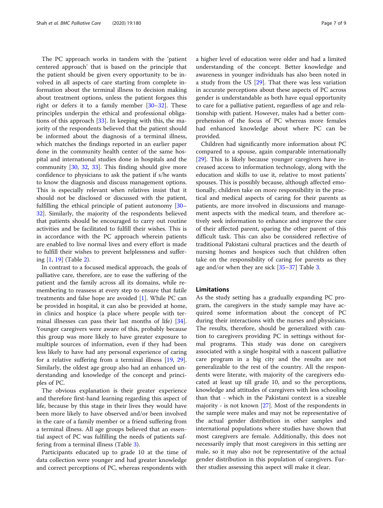The PC approach works in tandem with the 'patient centered approach' that is based on the principle that the patient should be given every opportunity to be involved in all aspects of care starting from complete information about the terminal illness to decision making about treatment options, unless the patient forgoes this right or defers it to a family member [\[30](#page-9-0)–[32\]](#page-9-0). These principles underpin the ethical and professional obligations of this approach [[33\]](#page-9-0). In keeping with this, the majority of the respondents believed that the patient should be informed about the diagnosis of a terminal illness, which matches the findings reported in an earlier paper done in the community health center of the same hospital and international studies done in hospitals and the community [[30,](#page-9-0) [32,](#page-9-0) [33\]](#page-9-0). This finding should give more confidence to physicians to ask the patient if s/he wants to know the diagnosis and discuss management options. This is especially relevant when relatives insist that it should not be disclosed or discussed with the patient, fulfilling the ethical principle of patient autonomy [[30](#page-9-0)– [32\]](#page-9-0). Similarly, the majority of the respondents believed that patients should be encouraged to carry out routine activities and be facilitated to fulfill their wishes. This is in accordance with the PC approach wherein patients are enabled to live normal lives and every effort is made to fulfill their wishes to prevent helplessness and suffering [\[1](#page-8-0), [19](#page-9-0)] (Table [2](#page-5-0)).

In contrast to a focused medical approach, the goals of palliative care, therefore, are to ease the suffering of the patient and the family across all its domains, while remembering to reassess at every step to ensure that futile treatments and false hope are avoided [[1\]](#page-8-0). While PC can be provided in hospital, it can also be provided at home, in clinics and hospice (a place where people with terminal illnesses can pass their last months of life) [\[34](#page-9-0)]. Younger caregivers were aware of this, probably because this group was more likely to have greater exposure to multiple sources of information, even if they had been less likely to have had any personal experience of caring for a relative suffering from a terminal illness [\[19,](#page-9-0) [29](#page-9-0)]. Similarly, the oldest age group also had an enhanced understanding and knowledge of the concept and principles of PC.

The obvious explanation is their greater experience and therefore first-hand learning regarding this aspect of life, because by this stage in their lives they would have been more likely to have observed and/or been involved in the care of a family member or a friend suffering from a terminal illness. All age groups believed that an essential aspect of PC was fulfilling the needs of patients suffering from a terminal illness (Table [3\)](#page-6-0).

Participants educated up to grade 10 at the time of data collection were younger and had greater knowledge and correct perceptions of PC, whereas respondents with a higher level of education were older and had a limited understanding of the concept. Better knowledge and awareness in younger individuals has also been noted in a study from the US [\[29](#page-9-0)]. That there was less variation in accurate perceptions about these aspects of PC across gender is understandable as both have equal opportunity to care for a palliative patient, regardless of age and relationship with patient. However, males had a better comprehension of the focus of PC whereas more females had enhanced knowledge about where PC can be provided.

Children had significantly more information about PC compared to a spouse, again comparable internationally [[29\]](#page-9-0). This is likely because younger caregivers have increased access to information technology, along with the education and skills to use it, relative to most patients' spouses. This is possibly because, although affected emotionally, children take on more responsibility in the practical and medical aspects of caring for their parents as patients, are more involved in discussions and management aspects with the medical team, and therefore actively seek information to enhance and improve the care of their affected parent, sparing the other parent of this difficult task. This can also be considered reflective of traditional Pakistani cultural practices and the dearth of nursing homes and hospices such that children often take on the responsibility of caring for parents as they age and/or when they are sick [[35](#page-9-0)–[37](#page-9-0)] Table [3](#page-6-0).

# Limitations

As the study setting has a gradually expanding PC program, the caregivers in the study sample may have acquired some information about the concept of PC during their interactions with the nurses and physicians. The results, therefore, should be generalized with caution to caregivers providing PC in settings without formal programs. This study was done on caregivers associated with a single hospital with a nascent palliative care program in a big city and the results are not generalizable to the rest of the country. All the respondents were literate, with majority of the caregivers educated at least up till grade 10, and so the perceptions, knowledge and attitudes of caregivers with less schooling than that - which in the Pakistani context is a sizeable majority - is not known [[27](#page-9-0)]. Most of the respondents in the sample were males and may not be representative of the actual gender distribution in other samples and international populations where studies have shown that most caregivers are female. Additionally, this does not necessarily imply that most caregivers in this setting are male, so it may also not be representative of the actual gender distribution in this population of caregivers. Further studies assessing this aspect will make it clear.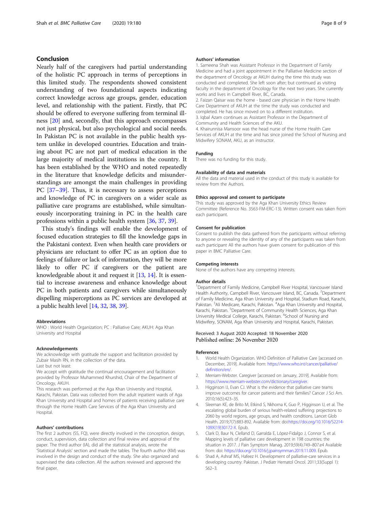# <span id="page-8-0"></span>Conclusion

Nearly half of the caregivers had partial understanding of the holistic PC approach in terms of perceptions in this limited study. The respondents showed consistent understanding of two foundational aspects indicating correct knowledge across age groups, gender, education level, and relationship with the patient. Firstly, that PC should be offered to everyone suffering from terminal illness [[20\]](#page-9-0) and, secondly, that this approach encompasses not just physical, but also psychological and social needs. In Pakistan PC is not available in the public health system unlike in developed countries. Education and training about PC are not part of medical education in the large majority of medical institutions in the country. It has been established by the WHO and noted repeatedly in the literature that knowledge deficits and misunderstandings are amongst the main challenges in providing PC [\[37](#page-9-0)–[39\]](#page-9-0). Thus, it is necessary to assess perceptions and knowledge of PC in caregivers on a wider scale as palliative care programs are established, while simultaneously incorporating training in PC in the health care professions within a public health system [[36](#page-9-0), [37](#page-9-0), [39](#page-9-0)].

This study's findings will enable the development of focused education strategies to fill the knowledge gaps in the Pakistani context. Even when health care providers or physicians are reluctant to offer PC as an option due to feelings of failure or lack of information, they will be more likely to offer PC if caregivers or the patient are knowledgeable about it and request it [[13](#page-9-0), [14](#page-9-0)]. It is essential to increase awareness and enhance knowledge about PC in both patients and caregivers while simultaneously dispelling misperceptions as PC services are developed at a public health level [[14](#page-9-0), [32,](#page-9-0) [38](#page-9-0), [39\]](#page-9-0).

#### Abbreviations

WHO : World Health Organization; PC : Palliative Care; AKUH: Aga Khan University and Hospital

#### Acknowledgements

We acknowledge with gratitude the support and facilitation provided by Zubair Masih RN, in the collection of the data. Last but not least:

We accept with gratitude the continual encouragement and facilitation provided by Professor Muhammed Khurshid, Chair of the Department of Oncology, AKUH.

This research was performed at the Aga Khan University and Hospital, Karachi, Pakistan. Data was collected from the adult inpatient wards of Aga Khan University and Hospital and homes of patients receiving palliative care through the Home Health Care Services of the Aga Khan University and Hospital.

#### Authors' contributions

The first 2 authors (SS, FQ), were directly involved in the conception, design, conduct, supervision, data collection and final review and approval of the paper. The third author (IA), did all the statistical analysis, wrote the 'Statistical Analysis' section and made the tables. The fourth author (KM) was involved in the design and conduct of the study. She also organized and supervised the data collection. All the authors reviewed and approved the final paper.

### Authors' information

1. Sameena Shah was Assistant Professor in the Department of Family Medicine and had a joint appointment in the Palliative Medicine section of the department of Oncology at AKUH during the time this study was conducted and completed. She left soon after; but continued as visiting faculty in the department of Oncology for the next two years. She currently works and lives in Campbell River, BC, Canada. 2. Faizan Qaisar was the home - based care physician in the Home Health Care Department of AKUH at the time the study was conducted and completed. He has since moved on to a different institution. 3. Igbal Azam continues as Assistant Professor in the Department of Community and Health Sciences of the AKU. 4. Khairunnisa Mansoor was the head nurse of the Home Health Care Services of AKUH at the time and has since joined the School of Nursing and Midwifery SONAM, AKU, as an instructor.

#### Funding

There was no funding for this study.

#### Availability of data and materials

All the data and material used in the conduct of this study is available for review from the Authors.

#### Ethics approval and consent to participate

This study was approved by the Aga Khan University Ethics Review Committee (Reference No. 3563-FM-ERC-13). Written consent was taken from each participant.

#### Consent for publication

Consent to publish the data gathered from the participants without referring to anyone or revealing the identity of any of the participants was taken from each participant All the authors have given consent for publication of this paper in BMC Palliative Care.

#### Competing interests

None of the authors have any competing interests.

#### Author details

<sup>1</sup>Department of Family Medicine, Campbell River Hospital, Vancouver Island Health Authority, Campbell River, Vancouver Island, BC, Canada. <sup>2</sup>Department of Family Medicine, Aga Khan University and Hospital, Stadium Road, Karachi, Pakistan. <sup>3</sup>Ali Medicare, Karachi, Pakistan. <sup>4</sup>Aga Khan University and Hospital, Karachi, Pakistan. <sup>5</sup>Department of Community Health Sciences, Aga Khan University Medical College, Karachi, Pakistan. <sup>6</sup>School of Nursing and Midwifery, SONAM, Aga Khan University and Hospital, Karachi, Pakistan.

# Received: 3 August 2020 Accepted: 18 November 2020 Published online: 26 November 2020

# References

- 1. World Health Organization. WHO Definition of Palliative Care [accessed on December, 2019]. Available from: [https://www.who.int/cancer/palliative/](https://www.who.int/cancer/palliative/definition/en/) [definition/en/.](https://www.who.int/cancer/palliative/definition/en/)
- 2. Merriam-Webster. Caregiver [accessed on January, 2019]. Available from: <https://www.merriam-webster.com/dictionary/caregiver>.
- 3. Higginson IJ, Evan CJ. What is the evidence that palliative care teams improve outcomes for cancer patients and their families? Cancer J Sci Am. 2010;16(5):423–35.
- 4. Sleeman KE, de Brito M, Etkind S, Nkhoma K, Guo P, Higginson IJ, et al. The escalating global burden of serious health-related suffering: projections to 2060 by world regions, age groups, and health conditions. Lancet Glob Health. 2019;7(7):883-892. Available from: doi:[https://doi.org/10.1016/S2214-](https://doi.org/10.1016/S2214-109X(19)30172-X) [109X\(19\)30172-X](https://doi.org/10.1016/S2214-109X(19)30172-X). Epub.
- 5. Clark D, Baur N, Clelland D, Garralda E, López-Fidalgo J, Connor S, et al. Mapping levels of palliative care development in 198 countries: the situation in 2017. J Pain Symptom Manag. 2019;59(4):749–807.e4 Available from: doi: <https://doi.org/10.1016/j.jpainsymman.2019.11.009>. Epub.
- Shad A, Ashraf MS, Hafeez H. Development of palliative-care services in a developing country: Pakistan. J Pediatr Hematol Oncol. 2011;33(Suppl 1): S62–3.